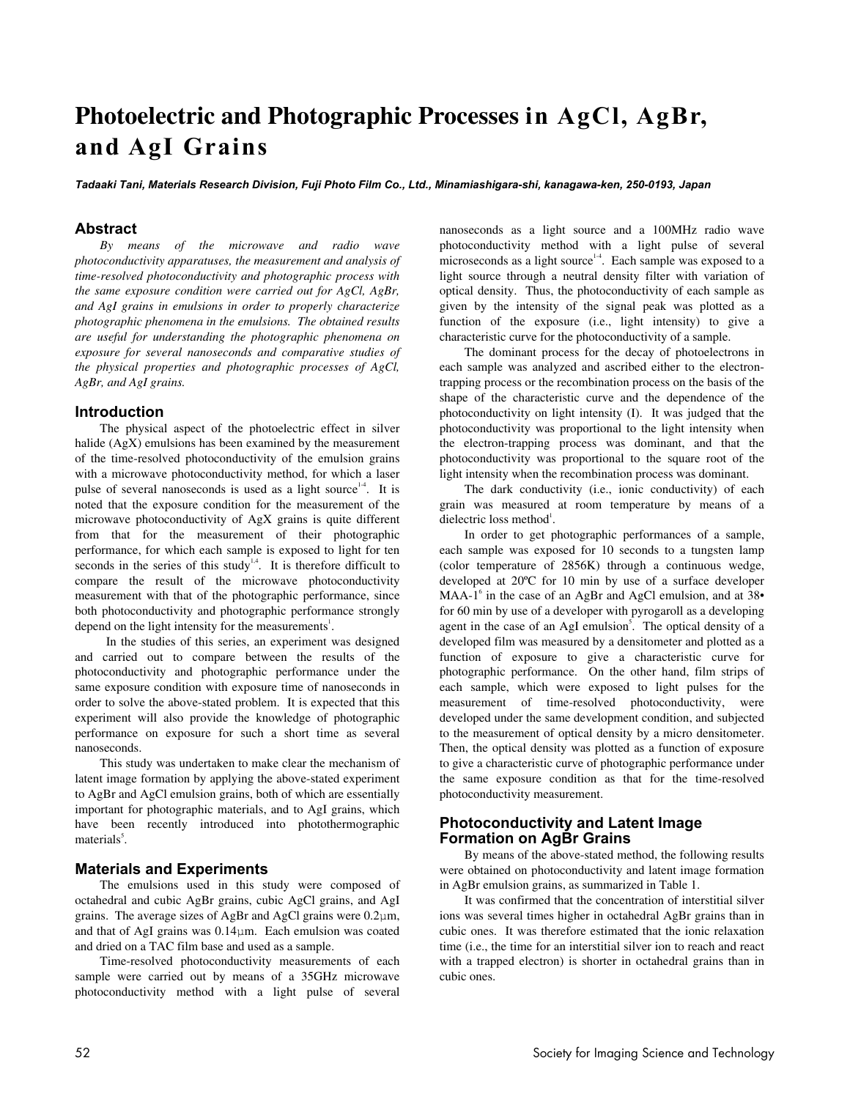# **Photoelectric and Photographic Processes in AgCl, AgBr, and AgI Grains**

*Tadaaki Tani, Materials Research Division, Fuji Photo Film Co., Ltd., Minamiashigara-shi, kanagawa-ken, 250-0193, Japan*

# **Abstract**

*By means of the microwave and radio wave photoconductivity apparatuses, the measurement and analysis of time-resolved photoconductivity and photographic process with the same exposure condition were carried out for AgCl, AgBr, and AgI grains in emulsions in order to properly characterize photographic phenomena in the emulsions. The obtained results are useful for understanding the photographic phenomena on exposure for several nanoseconds and comparative studies of the physical properties and photographic processes of AgCl, AgBr, and AgI grains.* 

#### **Introduction**

The physical aspect of the photoelectric effect in silver halide (AgX) emulsions has been examined by the measurement of the time-resolved photoconductivity of the emulsion grains with a microwave photoconductivity method, for which a laser pulse of several nanoseconds is used as a light source<sup>14</sup>. It is noted that the exposure condition for the measurement of the microwave photoconductivity of AgX grains is quite different from that for the measurement of their photographic performance, for which each sample is exposed to light for ten seconds in the series of this study<sup>1,4</sup>. It is therefore difficult to compare the result of the microwave photoconductivity measurement with that of the photographic performance, since both photoconductivity and photographic performance strongly depend on the light intensity for the measurements<sup>1</sup>.

 In the studies of this series, an experiment was designed and carried out to compare between the results of the photoconductivity and photographic performance under the same exposure condition with exposure time of nanoseconds in order to solve the above-stated problem. It is expected that this experiment will also provide the knowledge of photographic performance on exposure for such a short time as several nanoseconds.

This study was undertaken to make clear the mechanism of latent image formation by applying the above-stated experiment to AgBr and AgCl emulsion grains, both of which are essentially important for photographic materials, and to AgI grains, which have been recently introduced into photothermographic materials<sup>5</sup>.

#### **Materials and Experiments**

The emulsions used in this study were composed of octahedral and cubic AgBr grains, cubic AgCl grains, and AgI grains. The average sizes of AgBr and AgCl grains were 0.2μm, and that of AgI grains was 0.14μm. Each emulsion was coated and dried on a TAC film base and used as a sample.

Time-resolved photoconductivity measurements of each sample were carried out by means of a 35GHz microwave photoconductivity method with a light pulse of several nanoseconds as a light source and a 100MHz radio wave photoconductivity method with a light pulse of several microseconds as a light source<sup>14</sup>. Each sample was exposed to a light source through a neutral density filter with variation of optical density. Thus, the photoconductivity of each sample as given by the intensity of the signal peak was plotted as a function of the exposure (i.e., light intensity) to give a characteristic curve for the photoconductivity of a sample.

The dominant process for the decay of photoelectrons in each sample was analyzed and ascribed either to the electrontrapping process or the recombination process on the basis of the shape of the characteristic curve and the dependence of the photoconductivity on light intensity (I). It was judged that the photoconductivity was proportional to the light intensity when the electron-trapping process was dominant, and that the photoconductivity was proportional to the square root of the light intensity when the recombination process was dominant.

The dark conductivity (i.e., ionic conductivity) of each grain was measured at room temperature by means of a dielectric loss method<sup>1</sup>.

In order to get photographic performances of a sample, each sample was exposed for 10 seconds to a tungsten lamp (color temperature of 2856K) through a continuous wedge, developed at 20ºC for 10 min by use of a surface developer MAA-1 $^6$  in the case of an AgBr and AgCl emulsion, and at 38 $\bullet$ for 60 min by use of a developer with pyrogaroll as a developing agent in the case of an AgI emulsion<sup>5</sup>. The optical density of a developed film was measured by a densitometer and plotted as a function of exposure to give a characteristic curve for photographic performance. On the other hand, film strips of each sample, which were exposed to light pulses for the measurement of time-resolved photoconductivity, were developed under the same development condition, and subjected to the measurement of optical density by a micro densitometer. Then, the optical density was plotted as a function of exposure to give a characteristic curve of photographic performance under the same exposure condition as that for the time-resolved photoconductivity measurement.

### **Photoconductivity and Latent Image Formation on AgBr Grains**

By means of the above-stated method, the following results were obtained on photoconductivity and latent image formation in AgBr emulsion grains, as summarized in Table 1.

It was confirmed that the concentration of interstitial silver ions was several times higher in octahedral AgBr grains than in cubic ones. It was therefore estimated that the ionic relaxation time (i.e., the time for an interstitial silver ion to reach and react with a trapped electron) is shorter in octahedral grains than in cubic ones.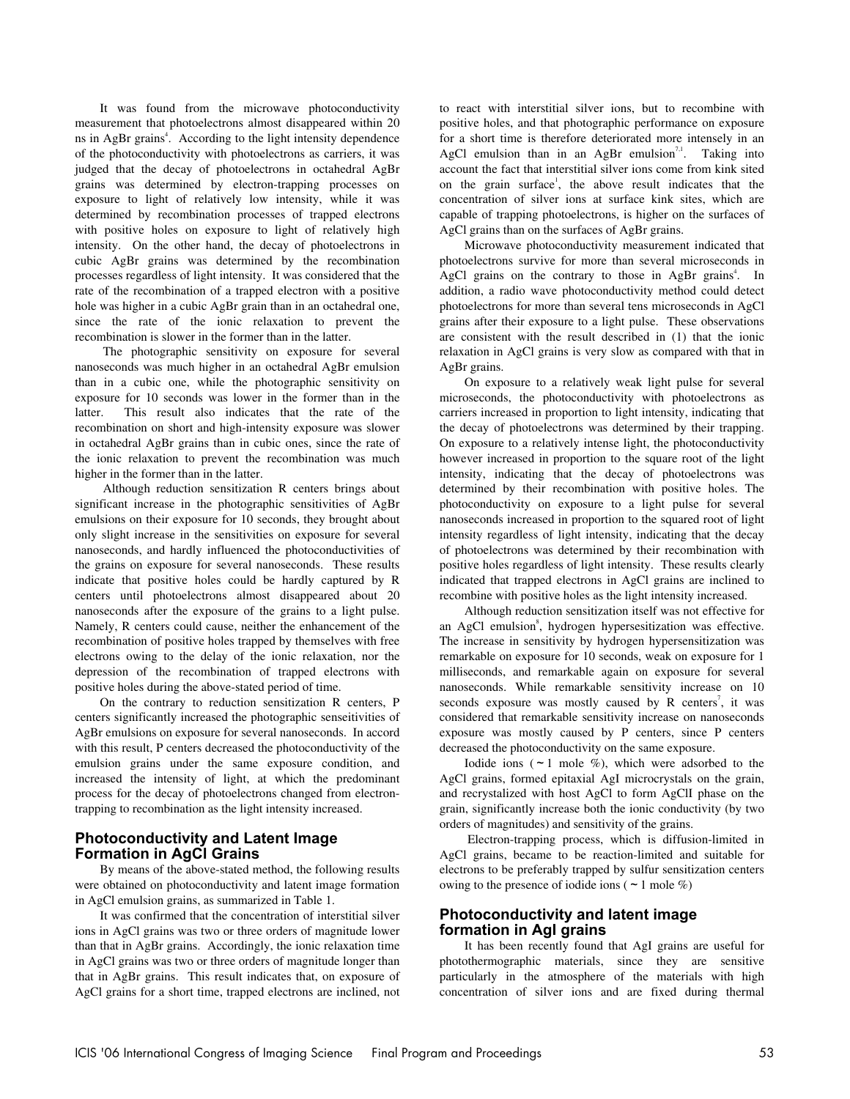It was found from the microwave photoconductivity measurement that photoelectrons almost disappeared within 20 ns in AgBr grains<sup>4</sup>. According to the light intensity dependence of the photoconductivity with photoelectrons as carriers, it was judged that the decay of photoelectrons in octahedral AgBr grains was determined by electron-trapping processes on exposure to light of relatively low intensity, while it was determined by recombination processes of trapped electrons with positive holes on exposure to light of relatively high intensity. On the other hand, the decay of photoelectrons in cubic AgBr grains was determined by the recombination processes regardless of light intensity. It was considered that the rate of the recombination of a trapped electron with a positive hole was higher in a cubic AgBr grain than in an octahedral one, since the rate of the ionic relaxation to prevent the recombination is slower in the former than in the latter.

 The photographic sensitivity on exposure for several nanoseconds was much higher in an octahedral AgBr emulsion than in a cubic one, while the photographic sensitivity on exposure for 10 seconds was lower in the former than in the latter. This result also indicates that the rate of the recombination on short and high-intensity exposure was slower in octahedral AgBr grains than in cubic ones, since the rate of the ionic relaxation to prevent the recombination was much higher in the former than in the latter.

 Although reduction sensitization R centers brings about significant increase in the photographic sensitivities of AgBr emulsions on their exposure for 10 seconds, they brought about only slight increase in the sensitivities on exposure for several nanoseconds, and hardly influenced the photoconductivities of the grains on exposure for several nanoseconds. These results indicate that positive holes could be hardly captured by R centers until photoelectrons almost disappeared about 20 nanoseconds after the exposure of the grains to a light pulse. Namely, R centers could cause, neither the enhancement of the recombination of positive holes trapped by themselves with free electrons owing to the delay of the ionic relaxation, nor the depression of the recombination of trapped electrons with positive holes during the above-stated period of time.

On the contrary to reduction sensitization R centers, P centers significantly increased the photographic senseitivities of AgBr emulsions on exposure for several nanoseconds. In accord with this result, P centers decreased the photoconductivity of the emulsion grains under the same exposure condition, and increased the intensity of light, at which the predominant process for the decay of photoelectrons changed from electrontrapping to recombination as the light intensity increased.

#### **Photoconductivity and Latent Image Formation in AgCl Grains**

By means of the above-stated method, the following results were obtained on photoconductivity and latent image formation in AgCl emulsion grains, as summarized in Table 1.

It was confirmed that the concentration of interstitial silver ions in AgCl grains was two or three orders of magnitude lower than that in AgBr grains. Accordingly, the ionic relaxation time in AgCl grains was two or three orders of magnitude longer than that in AgBr grains. This result indicates that, on exposure of AgCl grains for a short time, trapped electrons are inclined, not to react with interstitial silver ions, but to recombine with positive holes, and that photographic performance on exposure for a short time is therefore deteriorated more intensely in an AgCl emulsion than in an AgBr emulsion<sup>7,1</sup>. Taking into account the fact that interstitial silver ions come from kink sited on the grain surface<sup>1</sup>, the above result indicates that the concentration of silver ions at surface kink sites, which are capable of trapping photoelectrons, is higher on the surfaces of AgCl grains than on the surfaces of AgBr grains.

Microwave photoconductivity measurement indicated that photoelectrons survive for more than several microseconds in AgCl grains on the contrary to those in AgBr grains<sup>4</sup>. In addition, a radio wave photoconductivity method could detect photoelectrons for more than several tens microseconds in AgCl grains after their exposure to a light pulse. These observations are consistent with the result described in (1) that the ionic relaxation in AgCl grains is very slow as compared with that in AgBr grains.

On exposure to a relatively weak light pulse for several microseconds, the photoconductivity with photoelectrons as carriers increased in proportion to light intensity, indicating that the decay of photoelectrons was determined by their trapping. On exposure to a relatively intense light, the photoconductivity however increased in proportion to the square root of the light intensity, indicating that the decay of photoelectrons was determined by their recombination with positive holes. The photoconductivity on exposure to a light pulse for several nanoseconds increased in proportion to the squared root of light intensity regardless of light intensity, indicating that the decay of photoelectrons was determined by their recombination with positive holes regardless of light intensity. These results clearly indicated that trapped electrons in AgCl grains are inclined to recombine with positive holes as the light intensity increased.

Although reduction sensitization itself was not effective for an AgCl emulsion<sup>8</sup>, hydrogen hypersesitization was effective. The increase in sensitivity by hydrogen hypersensitization was remarkable on exposure for 10 seconds, weak on exposure for 1 milliseconds, and remarkable again on exposure for several nanoseconds. While remarkable sensitivity increase on 10 seconds exposure was mostly caused by R centers<sup>7</sup>, it was considered that remarkable sensitivity increase on nanoseconds exposure was mostly caused by P centers, since P centers decreased the photoconductivity on the same exposure.

Iodide ions ( $\sim$  1 mole %), which were adsorbed to the AgCl grains, formed epitaxial AgI microcrystals on the grain, and recrystalized with host AgCl to form AgClI phase on the grain, significantly increase both the ionic conductivity (by two orders of magnitudes) and sensitivity of the grains.

 Electron-trapping process, which is diffusion-limited in AgCl grains, became to be reaction-limited and suitable for electrons to be preferably trapped by sulfur sensitization centers owing to the presence of iodide ions ( $\sim$  1 mole %)

## **Photoconductivity and latent image formation in AgI grains**

It has been recently found that AgI grains are useful for photothermographic materials, since they are sensitive particularly in the atmosphere of the materials with high concentration of silver ions and are fixed during thermal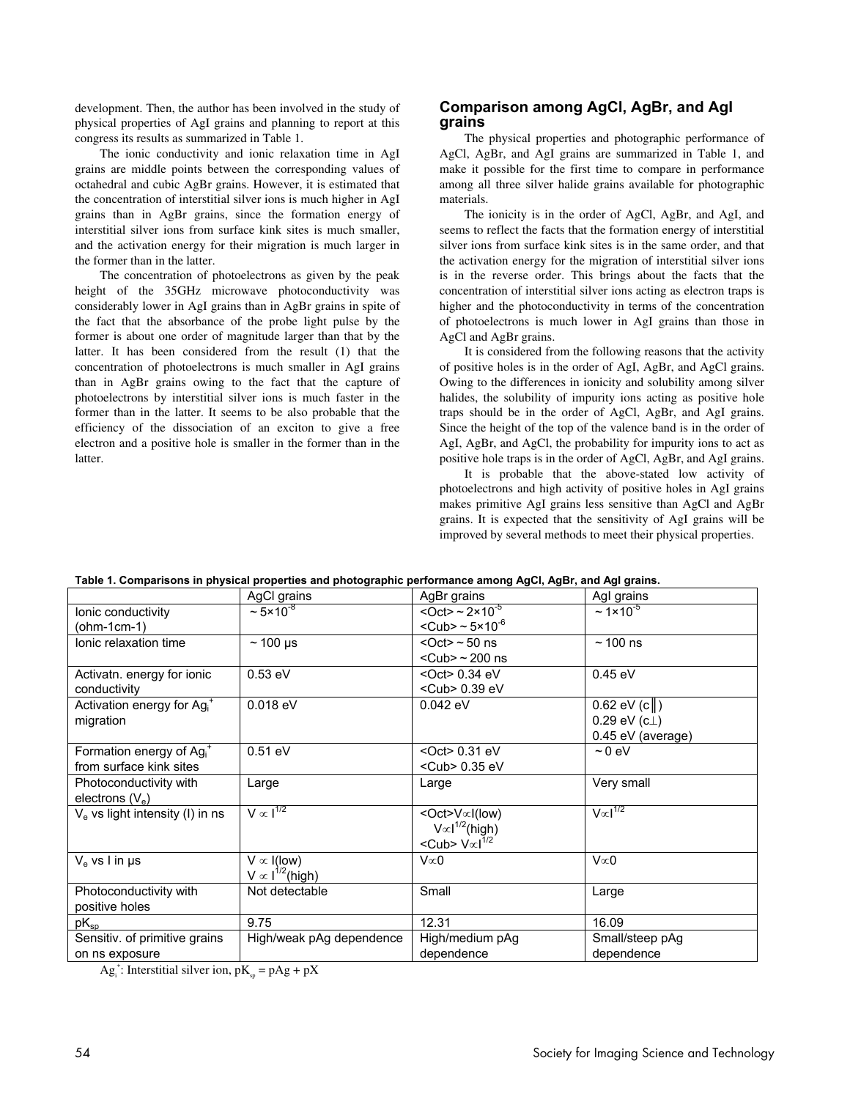development. Then, the author has been involved in the study of physical properties of AgI grains and planning to report at this congress its results as summarized in Table 1.

The ionic conductivity and ionic relaxation time in AgI grains are middle points between the corresponding values of octahedral and cubic AgBr grains. However, it is estimated that the concentration of interstitial silver ions is much higher in AgI grains than in AgBr grains, since the formation energy of interstitial silver ions from surface kink sites is much smaller, and the activation energy for their migration is much larger in the former than in the latter.

The concentration of photoelectrons as given by the peak height of the 35GHz microwave photoconductivity was considerably lower in AgI grains than in AgBr grains in spite of the fact that the absorbance of the probe light pulse by the former is about one order of magnitude larger than that by the latter. It has been considered from the result (1) that the concentration of photoelectrons is much smaller in AgI grains than in AgBr grains owing to the fact that the capture of photoelectrons by interstitial silver ions is much faster in the former than in the latter. It seems to be also probable that the efficiency of the dissociation of an exciton to give a free electron and a positive hole is smaller in the former than in the **latter** 

#### **Comparison among AgCl, AgBr, and AgI grains**

The physical properties and photographic performance of AgCl, AgBr, and AgI grains are summarized in Table 1, and make it possible for the first time to compare in performance among all three silver halide grains available for photographic materials.

The ionicity is in the order of AgCl, AgBr, and AgI, and seems to reflect the facts that the formation energy of interstitial silver ions from surface kink sites is in the same order, and that the activation energy for the migration of interstitial silver ions is in the reverse order. This brings about the facts that the concentration of interstitial silver ions acting as electron traps is higher and the photoconductivity in terms of the concentration of photoelectrons is much lower in AgI grains than those in AgCl and AgBr grains.

It is considered from the following reasons that the activity of positive holes is in the order of AgI, AgBr, and AgCl grains. Owing to the differences in ionicity and solubility among silver halides, the solubility of impurity ions acting as positive hole traps should be in the order of AgCl, AgBr, and AgI grains. Since the height of the top of the valence band is in the order of AgI, AgBr, and AgCl, the probability for impurity ions to act as positive hole traps is in the order of AgCl, AgBr, and AgI grains.

It is probable that the above-stated low activity of photoelectrons and high activity of positive holes in AgI grains makes primitive AgI grains less sensitive than AgCl and AgBr grains. It is expected that the sensitivity of AgI grains will be improved by several methods to meet their physical properties.

|                                                    | AgCl grains                | AgBr grains                                          | Agl grains                     |
|----------------------------------------------------|----------------------------|------------------------------------------------------|--------------------------------|
| lonic conductivity                                 | $\approx 5 \times 10^{-8}$ | <oct> <math>\sim</math> 2×10<sup>-5</sup></oct>      | $\sim 1 \times 10^{-5}$        |
| (ohm-1cm-1)                                        |                            | $<$ Cub> ~ 5×10 $^{\circ}$                           |                                |
| lonic relaxation time                              | $\sim$ 100 µs              | $<$ Oct $>$ $\sim$ 50 ns                             | $~100$ ns                      |
|                                                    |                            | $<$ Cub> ~ 200 ns                                    |                                |
| Activatn. energy for ionic                         | $0.53$ eV                  | $<$ Oct $> 0.34$ eV                                  | 0.45 eV                        |
| conductivity                                       |                            | <cub> 0.39 eV</cub>                                  |                                |
| Activation energy for Ag <sub>i</sub> <sup>+</sup> | $0.018$ eV                 | 0.042 eV                                             | $0.62$ eV (c $\ $ )            |
| migration                                          |                            |                                                      | $0.29$ eV (c $\perp$ )         |
|                                                    |                            |                                                      | 0.45 eV (average)              |
| Formation energy of $Agi+$                         | $0.51$ eV                  | <oct> 0.31 eV</oct>                                  | $\sim$ 0 eV                    |
| from surface kink sites                            |                            | <cub> 0.35 eV</cub>                                  |                                |
| Photoconductivity with                             | Large                      | Large                                                | Very small                     |
| electrons $(V_e)$                                  |                            |                                                      |                                |
| $Ve$ vs light intensity (I) in ns                  | $V \propto I^{1/2}$        | <oct>V∝l(low)</oct>                                  | $\sqrt{\infty}$ <sup>1/2</sup> |
|                                                    |                            | $V \propto l^{1/2}$ (high)                           |                                |
|                                                    |                            | <cub> <math>\sqrt{\alpha}</math><sup>1/2</sup></cub> |                                |
| $V_{\rm e}$ vs I in us                             | $V \propto I$ (low)        | $V \propto 0$                                        | $V\infty$ 0                    |
|                                                    | $V \propto I^{1/2}$ (high) |                                                      |                                |
| Photoconductivity with                             | Not detectable             | Small                                                | Large                          |
| positive holes                                     |                            |                                                      |                                |
| $pK_{sp}$                                          | 9.75                       | 12.31                                                | 16.09                          |
| Sensitiv. of primitive grains                      | High/weak pAg dependence   | High/medium pAg                                      | Small/steep pAg                |
| on ns exposure                                     |                            | dependence                                           | dependence                     |

**Table 1. Comparisons in physical properties and photographic performance among AgCl, AgBr, and AgI grains.** 

 $Ag_i^*$ : Interstitial silver ion,  $pK_{sp} = pAg + pX$